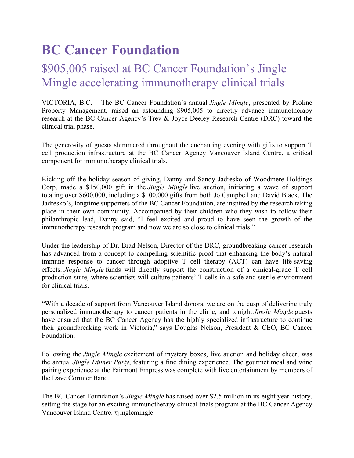## **BC Cancer Foundation**

## \$905,005 raised at BC Cancer Foundation's Jingle Mingle accelerating immunotherapy clinical trials

VICTORIA, B.C. – The BC Cancer Foundation's annual *Jingle Mingle*, presented by Proline Property Management, raised an astounding \$905,005 to directly advance immunotherapy research at the BC Cancer Agency's Trev & Joyce Deeley Research Centre (DRC) toward the clinical trial phase.

The generosity of guests shimmered throughout the enchanting evening with gifts to support T cell production infrastructure at the BC Cancer Agency Vancouver Island Centre, a critical component for immunotherapy clinical trials.

Kicking off the holiday season of giving, Danny and Sandy Jadresko of Woodmere Holdings Corp, made a \$150,000 gift in the *Jingle Mingle* live auction, initiating a wave of support totaling over \$600,000, including a \$100,000 gifts from both Jo Campbell and David Black. The Jadresko's, longtime supporters of the BC Cancer Foundation, are inspired by the research taking place in their own community. Accompanied by their children who they wish to follow their philanthropic lead, Danny said, "I feel excited and proud to have seen the growth of the immunotherapy research program and now we are so close to clinical trials."

Under the leadership of Dr. Brad Nelson, Director of the DRC, groundbreaking cancer research has advanced from a concept to compelling scientific proof that enhancing the body's natural immune response to cancer through adoptive T cell therapy (ACT) can have life-saving effects. *Jingle Mingle* funds will directly support the construction of a clinical-grade T cell production suite, where scientists will culture patients' T cells in a safe and sterile environment for clinical trials.

"With a decade of support from Vancouver Island donors, we are on the cusp of delivering truly personalized immunotherapy to cancer patients in the clinic, and tonight *Jingle Mingle* guests have ensured that the BC Cancer Agency has the highly specialized infrastructure to continue their groundbreaking work in Victoria," says Douglas Nelson, President & CEO, BC Cancer Foundation.

Following the *Jingle Mingle* excitement of mystery boxes, live auction and holiday cheer, was the annual *Jingle Dinner Party*, featuring a fine dining experience. The gourmet meal and wine pairing experience at the Fairmont Empress was complete with live entertainment by members of the Dave Cormier Band.

The BC Cancer Foundation's *Jingle Mingle* has raised over \$2.5 million in its eight year history, setting the stage for an exciting immunotherapy clinical trials program at the BC Cancer Agency Vancouver Island Centre. #jinglemingle